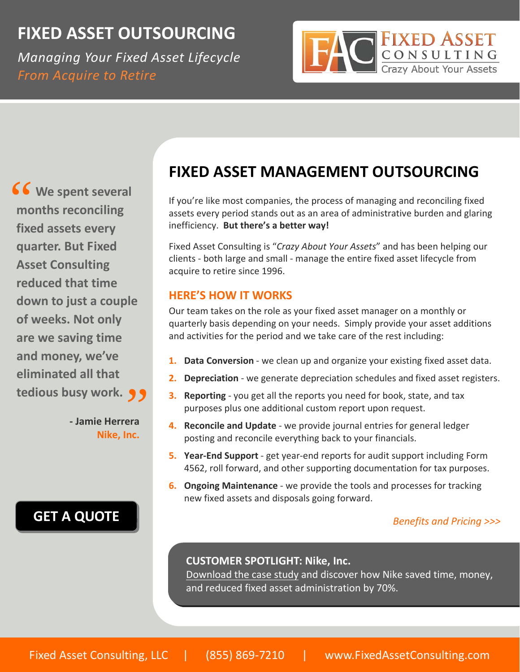# **FIXED ASSET OUTSOURCING**

*Managing Your Fixed Asset Lifecycle From Acquire to Retire*



**We spent several months reconciling fixed assets every quarter. But Fixed Asset Consulting reduced that time down to just a couple of weeks. Not only are we saving time and money, we've eliminated all that tedious busy work. 9 9**<br>- Jamie Herrera 66<br>mc

**‐ Jamie Herrera Nike, Inc.**

# **GET A [QUOTE](mailto:info@fixedassetconsulting.com?subject=FAC%20Outsource%20Quote)**

# **FIXED ASSET MANAGEMENT OUTSOURCING**

If you're like most companies, the process of managing and reconciling fixed assets every period stands out as an area of administrative burden and glaring inefficiency. **But there's a better way!**

Fixed Asset Consulting is "*Crazy About Your Assets*" and has been helping our clients ‐ both large and small ‐ manage the entire fixed asset lifecycle from acquire to retire since 1996.

#### **HERE'S HOW IT WORKS**

Our team takes on the role as your fixed asset manager on a monthly or quarterly basis depending on your needs. Simply provide your asset additions and activities for the period and we take care of the rest including:

- **1. Data Conversion** ‐ we clean up and organize your existing fixed asset data.
- **2. Depreciation** ‐ we generate depreciation schedules and fixed asset registers.
- **3. Reporting** ‐ you get all the reports you need for book, state, and tax purposes plus one additional custom report upon request.
- **4. Reconcile and Update** ‐ we provide journal entries for general ledger posting and reconcile everything back to your financials.
- **5. Year‐End Support** ‐ get year‐end reports for audit support including Form 4562, roll forward, and other supporting documentation for tax purposes.
- **6. Ongoing Maintenance** ‐ we provide the tools and processes for tracking new fixed assets and disposals going forward.

#### *Benefits and Pricing >>>*

#### **CUSTOMER SPOTLIGHT: Nike, Inc.**

Download the case study and discover how Nike saved time, money, and reduced fixed asset administration by 70%.